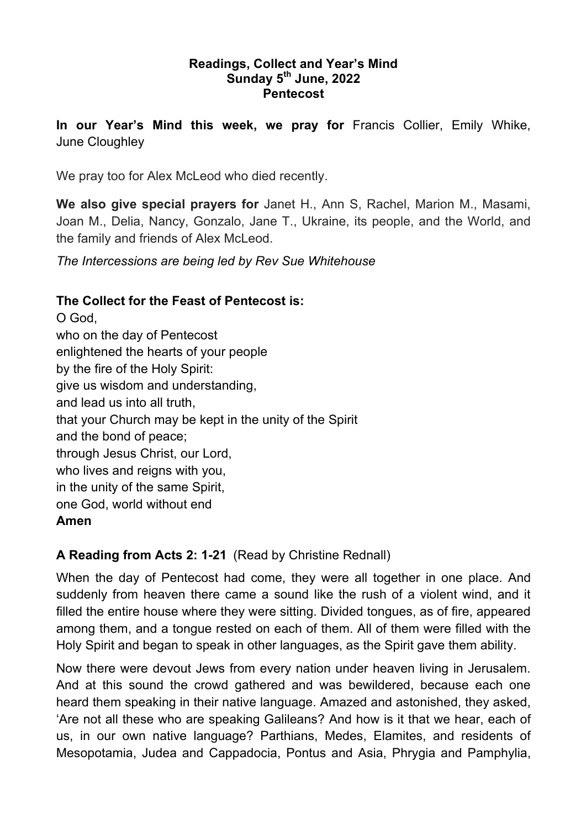#### **Readings, Collect and Year's Mind Sunday 5th June, 2022 Pentecost**

**In our Year's Mind this week, we pray for** Francis Collier, Emily Whike, June Cloughley

We pray too for Alex McLeod who died recently.

**We also give special prayers for** Janet H., Ann S, Rachel, Marion M., Masami, Joan M., Delia, Nancy, Gonzalo, Jane T., Ukraine, its people, and the World, and the family and friends of Alex McLeod.

*The Intercessions are being led by Rev Sue Whitehouse*

### **The Collect for the Feast of Pentecost is:**

O God, who on the day of Pentecost enlightened the hearts of your people by the fire of the Holy Spirit: give us wisdom and understanding, and lead us into all truth, that your Church may be kept in the unity of the Spirit and the bond of peace; through Jesus Christ, our Lord, who lives and reigns with you, in the unity of the same Spirit, one God, world without end **Amen**

# **A Reading from Acts 2: 1-21** (Read by Christine Rednall)

When the day of Pentecost had come, they were all together in one place. And suddenly from heaven there came a sound like the rush of a violent wind, and it filled the entire house where they were sitting. Divided tongues, as of fire, appeared among them, and a tongue rested on each of them. All of them were filled with the Holy Spirit and began to speak in other languages, as the Spirit gave them ability.

Now there were devout Jews from every nation under heaven living in Jerusalem. And at this sound the crowd gathered and was bewildered, because each one heard them speaking in their native language. Amazed and astonished, they asked, 'Are not all these who are speaking Galileans? And how is it that we hear, each of us, in our own native language? Parthians, Medes, Elamites, and residents of Mesopotamia, Judea and Cappadocia, Pontus and Asia, Phrygia and Pamphylia,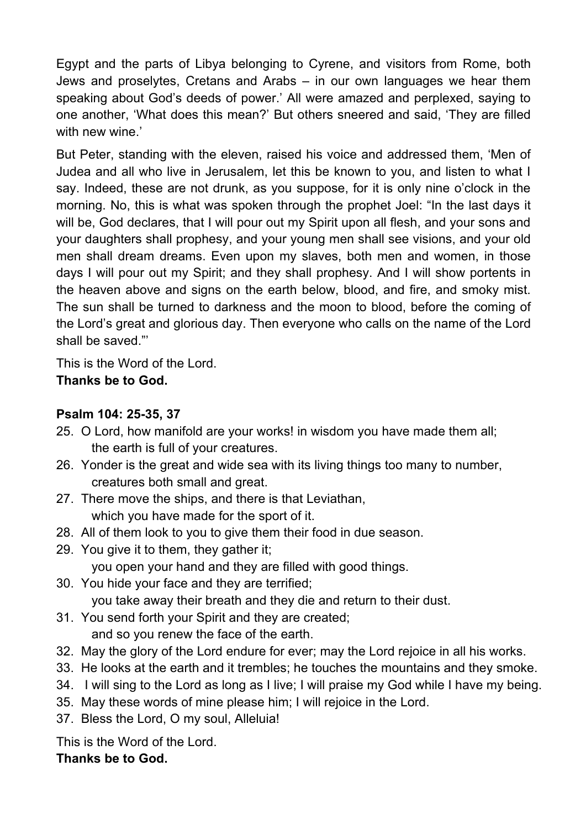Egypt and the parts of Libya belonging to Cyrene, and visitors from Rome, both Jews and proselytes, Cretans and Arabs – in our own languages we hear them speaking about God's deeds of power.' All were amazed and perplexed, saying to one another, 'What does this mean?' But others sneered and said, 'They are filled with new wine.'

But Peter, standing with the eleven, raised his voice and addressed them, 'Men of Judea and all who live in Jerusalem, let this be known to you, and listen to what I say. Indeed, these are not drunk, as you suppose, for it is only nine o'clock in the morning. No, this is what was spoken through the prophet Joel: "In the last days it will be, God declares, that I will pour out my Spirit upon all flesh, and your sons and your daughters shall prophesy, and your young men shall see visions, and your old men shall dream dreams. Even upon my slaves, both men and women, in those days I will pour out my Spirit; and they shall prophesy. And I will show portents in the heaven above and signs on the earth below, blood, and fire, and smoky mist. The sun shall be turned to darkness and the moon to blood, before the coming of the Lord's great and glorious day. Then everyone who calls on the name of the Lord shall be saved."

This is the Word of the Lord. **Thanks be to God.**

# **Psalm 104: 25-35, 37**

- 25. O Lord, how manifold are your works! in wisdom you have made them all; the earth is full of your creatures.
- 26. Yonder is the great and wide sea with its living things too many to number, creatures both small and great.
- 27. There move the ships, and there is that Leviathan, which you have made for the sport of it.
- 28. All of them look to you to give them their food in due season.
- 29. You give it to them, they gather it; you open your hand and they are filled with good things.
- 30. You hide your face and they are terrified; you take away their breath and they die and return to their dust.
- 31. You send forth your Spirit and they are created;

and so you renew the face of the earth.

- 32. May the glory of the Lord endure for ever; may the Lord rejoice in all his works.
- 33. He looks at the earth and it trembles; he touches the mountains and they smoke.
- 34. I will sing to the Lord as long as I live; I will praise my God while I have my being.
- 35. May these words of mine please him; I will rejoice in the Lord.
- 37. Bless the Lord, O my soul, Alleluia!

This is the Word of the Lord.

**Thanks be to God.**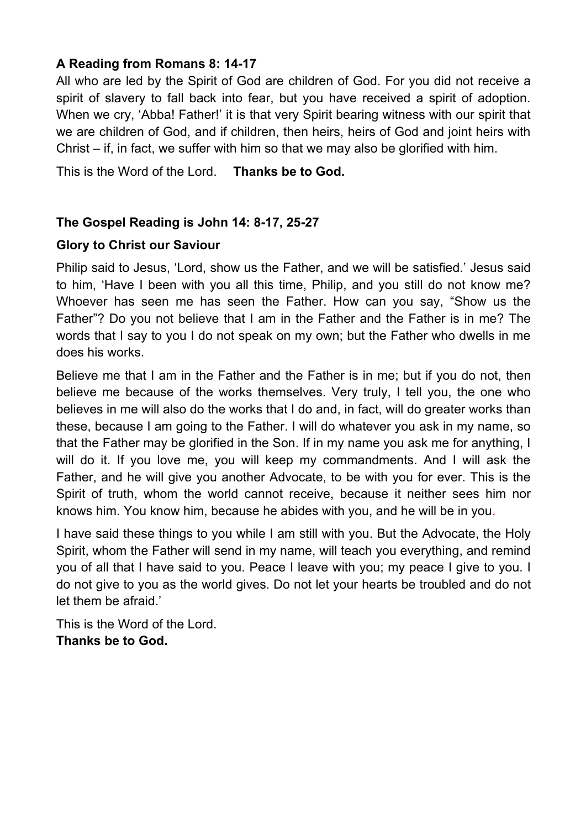### **A Reading from Romans 8: 14-17**

All who are led by the Spirit of God are children of God. For you did not receive a spirit of slavery to fall back into fear, but you have received a spirit of adoption. When we cry, 'Abba! Father!' it is that very Spirit bearing witness with our spirit that we are children of God, and if children, then heirs, heirs of God and joint heirs with Christ – if, in fact, we suffer with him so that we may also be glorified with him.

This is the Word of the Lord. **Thanks be to God.**

### **The Gospel Reading is John 14: 8-17, 25-27**

#### **Glory to Christ our Saviour**

Philip said to Jesus, 'Lord, show us the Father, and we will be satisfied.' Jesus said to him, 'Have I been with you all this time, Philip, and you still do not know me? Whoever has seen me has seen the Father. How can you say, "Show us the Father"? Do you not believe that I am in the Father and the Father is in me? The words that I say to you I do not speak on my own; but the Father who dwells in me does his works.

Believe me that I am in the Father and the Father is in me; but if you do not, then believe me because of the works themselves. Very truly, I tell you, the one who believes in me will also do the works that I do and, in fact, will do greater works than these, because I am going to the Father. I will do whatever you ask in my name, so that the Father may be glorified in the Son. If in my name you ask me for anything, I will do it. If you love me, you will keep my commandments. And I will ask the Father, and he will give you another Advocate, to be with you for ever. This is the Spirit of truth, whom the world cannot receive, because it neither sees him nor knows him. You know him, because he abides with you, and he will be in you.

I have said these things to you while I am still with you. But the Advocate, the Holy Spirit, whom the Father will send in my name, will teach you everything, and remind you of all that I have said to you. Peace I leave with you; my peace I give to you. I do not give to you as the world gives. Do not let your hearts be troubled and do not let them be afraid.'

This is the Word of the Lord. **Thanks be to God.**